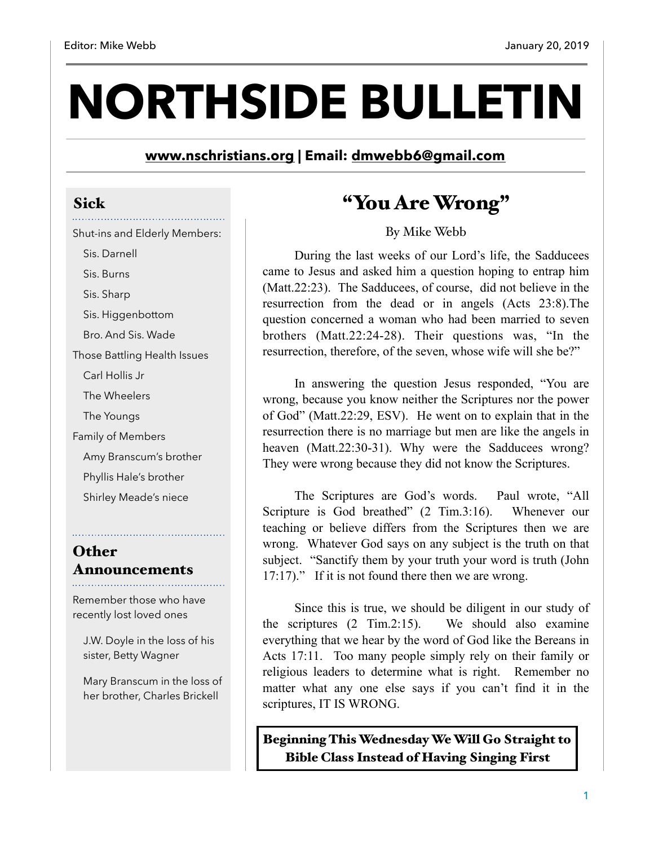# **NORTHSIDE BULLETIN**

**[www.nschristians.org](http://www.nschristians.org) | Email: [dmwebb6@gmail.com](mailto:dmwebb6@gmail.com)**

#### Sick

Shut-ins and Elderly Members:

 Sis. Darnell Sis. Burns

Sis. Sharp

Sis. Higgenbottom

Bro. And Sis. Wade

Those Battling Health Issues

Carl Hollis Jr

The Wheelers

The Youngs

Family of Members

Amy Branscum's brother

Phyllis Hale's brother

Shirley Meade's niece

## **Other** Announcements

Remember those who have recently lost loved ones

 J.W. Doyle in the loss of his sister, Betty Wagner

 Mary Branscum in the loss of her brother, Charles Brickell

# "You Are Wrong"

By Mike Webb

During the last weeks of our Lord's life, the Sadducees came to Jesus and asked him a question hoping to entrap him (Matt.22:23). The Sadducees, of course, did not believe in the resurrection from the dead or in angels (Acts 23:8).The question concerned a woman who had been married to seven brothers (Matt.22:24-28). Their questions was, "In the resurrection, therefore, of the seven, whose wife will she be?"

 In answering the question Jesus responded, "You are wrong, because you know neither the Scriptures nor the power of God" (Matt.22:29, ESV). He went on to explain that in the resurrection there is no marriage but men are like the angels in heaven (Matt.22:30-31). Why were the Sadducees wrong? They were wrong because they did not know the Scriptures.

 The Scriptures are God's words. Paul wrote, "All Scripture is God breathed" (2 Tim.3:16). Whenever our teaching or believe differs from the Scriptures then we are wrong. Whatever God says on any subject is the truth on that subject. "Sanctify them by your truth your word is truth (John 17:17)." If it is not found there then we are wrong.

 Since this is true, we should be diligent in our study of the scriptures (2 Tim.2:15). We should also examine everything that we hear by the word of God like the Bereans in Acts 17:11. Too many people simply rely on their family or religious leaders to determine what is right. Remember no matter what any one else says if you can't find it in the scriptures, IT IS WRONG.

Beginning This Wednesday We Will Go Straight to Bible Class Instead of Having Singing First